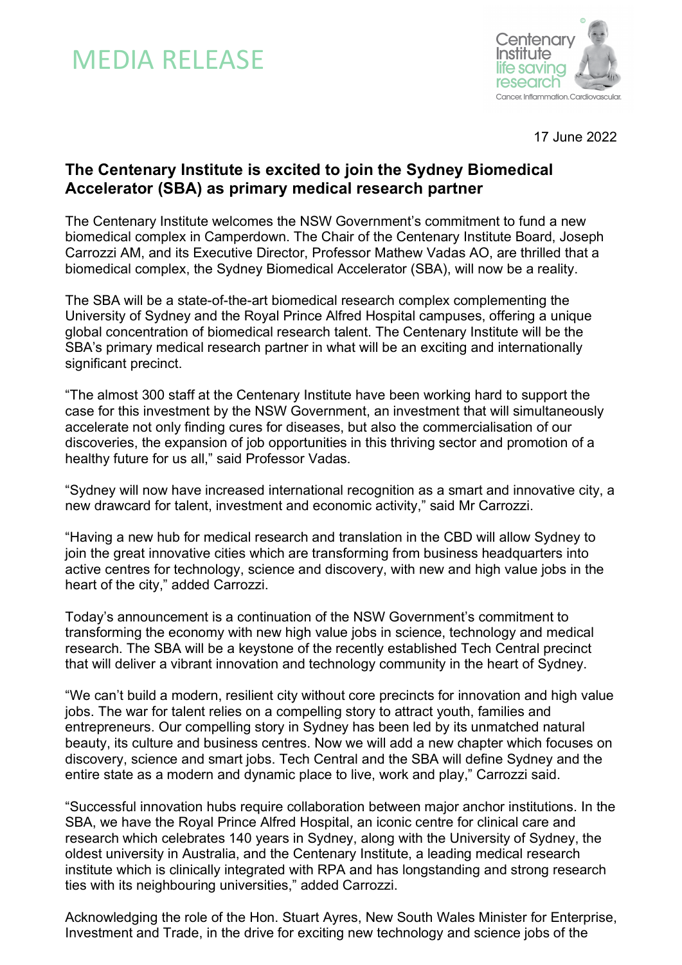# MEDIA RELEASE



17 June 2022

## **The Centenary Institute is excited to join the Sydney Biomedical Accelerator (SBA) as primary medical research partner**

The Centenary Institute welcomes the NSW Government's commitment to fund a new biomedical complex in Camperdown. The Chair of the Centenary Institute Board, Joseph Carrozzi AM, and its Executive Director, Professor Mathew Vadas AO, are thrilled that a biomedical complex, the Sydney Biomedical Accelerator (SBA), will now be a reality.

The SBA will be a state-of-the-art biomedical research complex complementing the University of Sydney and the Royal Prince Alfred Hospital campuses, offering a unique global concentration of biomedical research talent. The Centenary Institute will be the SBA's primary medical research partner in what will be an exciting and internationally significant precinct.

"The almost 300 staff at the Centenary Institute have been working hard to support the case for this investment by the NSW Government, an investment that will simultaneously accelerate not only finding cures for diseases, but also the commercialisation of our discoveries, the expansion of job opportunities in this thriving sector and promotion of a healthy future for us all," said Professor Vadas.

"Sydney will now have increased international recognition as a smart and innovative city, a new drawcard for talent, investment and economic activity," said Mr Carrozzi.

"Having a new hub for medical research and translation in the CBD will allow Sydney to join the great innovative cities which are transforming from business headquarters into active centres for technology, science and discovery, with new and high value jobs in the heart of the city," added Carrozzi.

Today's announcement is a continuation of the NSW Government's commitment to transforming the economy with new high value jobs in science, technology and medical research. The SBA will be a keystone of the recently established Tech Central precinct that will deliver a vibrant innovation and technology community in the heart of Sydney.

"We can't build a modern, resilient city without core precincts for innovation and high value jobs. The war for talent relies on a compelling story to attract youth, families and entrepreneurs. Our compelling story in Sydney has been led by its unmatched natural beauty, its culture and business centres. Now we will add a new chapter which focuses on discovery, science and smart jobs. Tech Central and the SBA will define Sydney and the entire state as a modern and dynamic place to live, work and play," Carrozzi said.

"Successful innovation hubs require collaboration between major anchor institutions. In the SBA, we have the Royal Prince Alfred Hospital, an iconic centre for clinical care and research which celebrates 140 years in Sydney, along with the University of Sydney, the oldest university in Australia, and the Centenary Institute, a leading medical research institute which is clinically integrated with RPA and has longstanding and strong research ties with its neighbouring universities," added Carrozzi.

Acknowledging the role of the Hon. Stuart Ayres, New South Wales Minister for Enterprise, Investment and Trade, in the drive for exciting new technology and science jobs of the